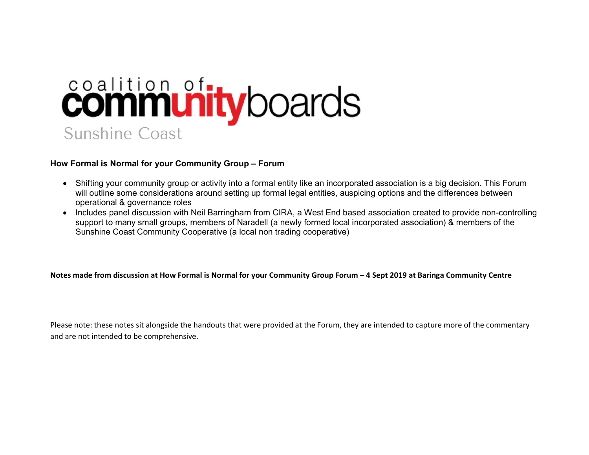## contition of the products **Sunshine Coast**

## How Formal is Normal for your Community Group – Forum

- Shifting your community group or activity into a formal entity like an incorporated association is a big decision. This Forum will outline some considerations around setting up formal legal entities, auspicing options and the differences between operational & governance roles
- Includes panel discussion with Neil Barringham from CIRA, a West End based association created to provide non-controlling support to many small groups, members of Naradell (a newly formed local incorporated association) & members of the Sunshine Coast Community Cooperative (a local non trading cooperative)

## Notes made from discussion at How Formal is Normal for your Community Group Forum – 4 Sept 2019 at Baringa Community Centre

Please note: these notes sit alongside the handouts that were provided at the Forum, they are intended to capture more of the commentary and are not intended to be comprehensive.